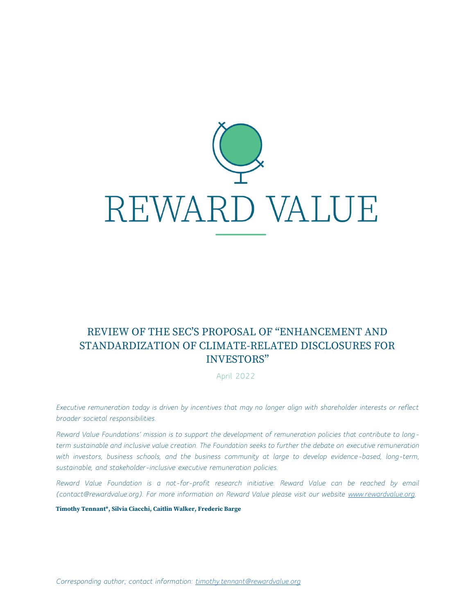

# REVIEW OF THE SEC'S PROPOSAL OF "ENHANCEMENT AND STANDARDIZATION OF CLIMATE-RELATED DISCLOSURES FOR INVESTORS"

April 2022

*Executive remuneration today is driven by incentives that may no longer align with shareholder interests or reflect broader societal responsibilities.*

*Reward Value Foundations' mission is to support the development of remuneration policies that contribute to longterm sustainable and inclusive value creation. The Foundation seeks to further the debate on executive remuneration with investors, business schools, and the business community at large to develop evidence-based, long-term, sustainable, and stakeholder-inclusive executive remuneration policies.* 

*Reward Value Foundation is a not-for-profit research initiative. Reward Value can be reached by email (contact@rewardvalue.org). For more information on Reward Value please visit our website [www.rewardvalue.org.](http://www.rewardvalue.org/)*

**Timothy Tennant\*, Silvia Ciacchi, Caitlin Walker, Frederic Barge**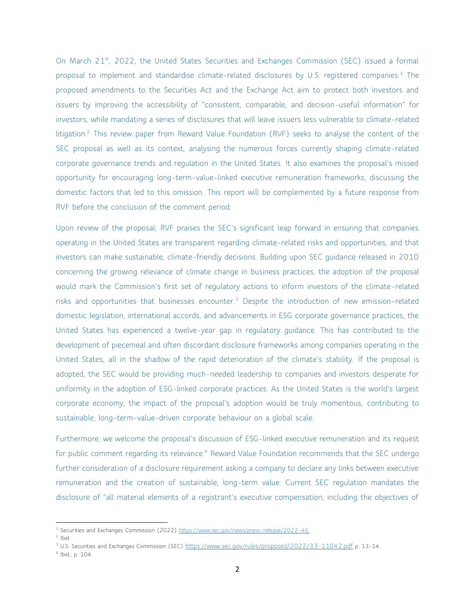On March 21<sup>st</sup>, 2022, the United States Securities and Exchanges Commission (SEC) issued a formal proposal to implement and standardise climate-related disclosures by U.S. registered companies. $1$  The proposed amendments to the Securities Act and the Exchange Act aim to protect both investors and issuers by improving the accessibility of "consistent, comparable, and decision-useful information" for investors, while mandating a series of disclosures that will leave issuers less vulnerable to climate-related litigation.<sup>2</sup> This review paper from Reward Value Foundation (RVF) seeks to analyse the content of the SEC proposal as well as its context, analysing the numerous forces currently shaping climate-related corporate governance trends and regulation in the United States. It also examines the proposal's missed opportunity for encouraging long-term-value-linked executive remuneration frameworks, discussing the domestic factors that led to this omission. This report will be complemented by a future response from RVF before the conclusion of the comment period.

Upon review of the proposal, RVF praises the SEC's significant leap forward in ensuring that companies operating in the United States are transparent regarding climate-related risks and opportunities, and that investors can make sustainable, climate-friendly decisions. Building upon SEC guidance released in 2010 concerning the growing relevance of climate change in business practices, the adoption of the proposal would mark the Commission's first set of regulatory actions to inform investors of the climate-related risks and opportunities that businesses encounter.<sup>3</sup> Despite the introduction of new emission-related domestic legislation, international accords, and advancements in ESG corporate governance practices, the United States has experienced a twelve-year gap in regulatory guidance. This has contributed to the development of piecemeal and often discordant disclosure frameworks among companies operating in the United States, all in the shadow of the rapid deterioration of the climate's stability. If the proposal is adopted, the SEC would be providing much-needed leadership to companies and investors desperate for uniformity in the adoption of ESG-linked corporate practices. As the United States is the world's largest corporate economy, the impact of the proposal's adoption would be truly momentous, contributing to sustainable, long-term-value-driven corporate behaviour on a global scale.

Furthermore, we welcome the proposal's discussion of ESG-linked executive remuneration and its request for public comment regarding its relevance.<sup>4</sup> Reward Value Foundation recommends that the SEC undergo further consideration of a disclosure requirement asking a company to declare any links between executive remuneration and the creation of sustainable, long-term value. Current SEC regulation mandates the disclosure of "all material elements of a registrant's executive compensation, including the objectives of

<sup>&</sup>lt;sup>1</sup> Securities and Exchanges Commission (2022)<https://www.sec.gov/news/press-release/2022-46.>

 $2$  Ibid.

<sup>&</sup>lt;sup>3</sup> U.S. Securities and Exchanges Commission (SEC) <https://www.sec.gov/rules/proposed/2022/33-11042.pdf> p. 13-14.

<sup>4</sup> Ibid., p. 104.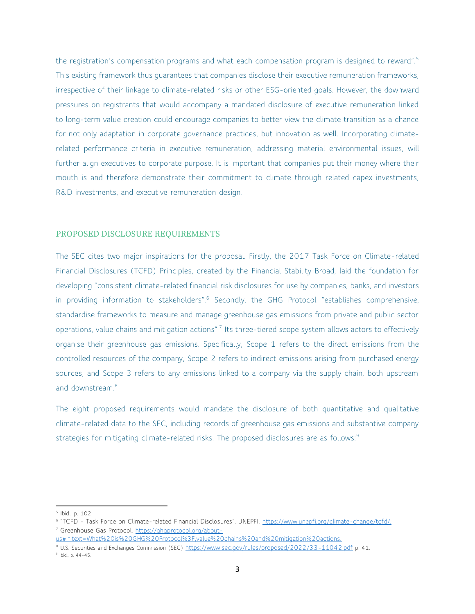the registration's compensation programs and what each compensation program is designed to reward".<sup>5</sup> This existing framework thus guarantees that companies disclose their executive remuneration frameworks, irrespective of their linkage to climate-related risks or other ESG-oriented goals. However, the downward pressures on registrants that would accompany a mandated disclosure of executive remuneration linked to long-term value creation could encourage companies to better view the climate transition as a chance for not only adaptation in corporate governance practices, but innovation as well. Incorporating climaterelated performance criteria in executive remuneration, addressing material environmental issues, will further align executives to corporate purpose. It is important that companies put their money where their mouth is and therefore demonstrate their commitment to climate through related capex investments, R&D investments, and executive remuneration design.

#### PROPOSED DISCLOSURE REQUIREMENTS

The SEC cites two major inspirations for the proposal. Firstly, the 2017 Task Force on Climate-related Financial Disclosures (TCFD) Principles, created by the Financial Stability Broad, laid the foundation for developing "consistent climate-related financial risk disclosures for use by companies, banks, and investors in providing information to stakeholders".<sup>6</sup> Secondly, the GHG Protocol "establishes comprehensive, standardise frameworks to measure and manage greenhouse gas emissions from private and public sector operations, value chains and mitigation actions".<sup>7</sup> Its three-tiered scope system allows actors to effectively organise their greenhouse gas emissions. Specifically, Scope 1 refers to the direct emissions from the controlled resources of the company, Scope 2 refers to indirect emissions arising from purchased energy sources, and Scope 3 refers to any emissions linked to a company via the supply chain, both upstream and downstream.<sup>8</sup>

The eight proposed requirements would mandate the disclosure of both quantitative and qualitative climate-related data to the SEC, including records of greenhouse gas emissions and substantive company strategies for mitigating climate-related risks. The proposed disclosures are as follows:<sup>9</sup>

<sup>5</sup> Ibid., p. 102.

<sup>&</sup>lt;sup>6</sup> "TCFD - Task Force on Climate-related Financial Disclosures". UNEPFI. <u>[https://www.unepfi.org/climate-change/tcfd/.](https://www.unepfi.org/climate-change/tcfd/)</u> <sup>7</sup> Greenhouse Gas Protocol. [https://ghgprotocol.org/about-](https://ghgprotocol.org/about-us#:~:text=What%20is%20GHG%20Protocol%3F,value%20chains%20and%20mitigation%20actions.)

[us#:~:text=What%20is%20GHG%20Protocol%3F,value%20chains%20and%20mitigation%20actions.](https://ghgprotocol.org/about-us#:~:text=What%20is%20GHG%20Protocol%3F,value%20chains%20and%20mitigation%20actions.)

<sup>8</sup> U.S. Securities and Exchanges Commission (SEC) <https://www.sec.gov/rules/proposed/2022/33-11042.pdf> p. 41.

<sup>9</sup> Ibid., p. 44-45.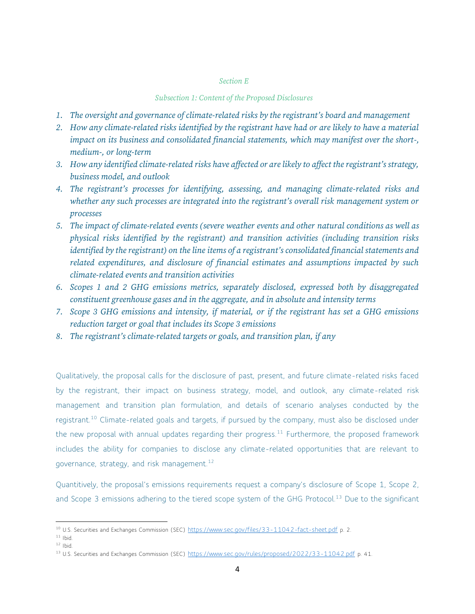# *Section E*

## *Subsection 1: Content of the Proposed Disclosures*

- *1. The oversight and governance of climate-related risks by the registrant's board and management*
- *2. How any climate-related risks identified by the registrant have had or are likely to have a material impact on its business and consolidated financial statements, which may manifest over the short-, medium-, or long-term*
- *3. How any identified climate-related risks have affected or are likely to affect the registrant's strategy, business model, and outlook*
- *4. The registrant's processes for identifying, assessing, and managing climate-related risks and whether any such processes are integrated into the registrant's overall risk management system or processes*
- *5. The impact of climate-related events (severe weather events and other natural conditions as well as physical risks identified by the registrant) and transition activities (including transition risks identified by the registrant) on the line items of a registrant's consolidated financial statements and related expenditures, and disclosure of financial estimates and assumptions impacted by such climate-related events and transition activities*
- *6. Scopes 1 and 2 GHG emissions metrics, separately disclosed, expressed both by disaggregated constituent greenhouse gases and in the aggregate, and in absolute and intensity terms*
- *7. Scope 3 GHG emissions and intensity, if material, or if the registrant has set a GHG emissions reduction target or goal that includes its Scope 3 emissions*
- *8. The registrant's climate-related targets or goals, and transition plan, if any*

Qualitatively, the proposal calls for the disclosure of past, present, and future climate-related risks faced by the registrant, their impact on business strategy, model, and outlook, any climate-related risk management and transition plan formulation, and details of scenario analyses conducted by the registrant.<sup>10</sup> Climate-related goals and targets, if pursued by the company, must also be disclosed under the new proposal with annual updates regarding their progress.<sup>11</sup> Furthermore, the proposed framework includes the ability for companies to disclose any climate-related opportunities that are relevant to governance, strategy, and risk management.<sup>12</sup>

Quantitively, the proposal's emissions requirements request a company's disclosure of Scope 1, Scope 2, and Scope 3 emissions adhering to the tiered scope system of the GHG Protocol.<sup>13</sup> Due to the significant

<sup>&</sup>lt;sup>10</sup> U.S. Securities and Exchanges Commission (SEC) <https://www.sec.gov/files/33-11042-fact-sheet.pdf> p. 2.

 $11$  Ibid.

 $12$  Ibid.

<sup>&</sup>lt;sup>13</sup> U.S. Securities and Exchanges Commission (SEC) <https://www.sec.gov/rules/proposed/2022/33-11042.pdf> p. 41.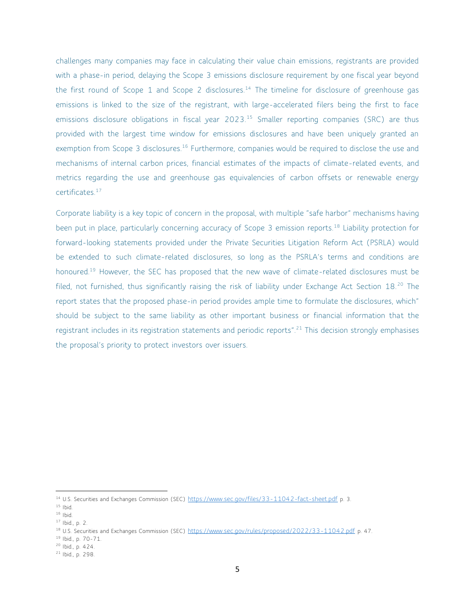challenges many companies may face in calculating their value chain emissions, registrants are provided with a phase-in period, delaying the Scope 3 emissions disclosure requirement by one fiscal year beyond the first round of Scope 1 and Scope 2 disclosures.<sup>14</sup> The timeline for disclosure of greenhouse gas emissions is linked to the size of the registrant, with large-accelerated filers being the first to face emissions disclosure obligations in fiscal year 2023.<sup>15</sup> Smaller reporting companies (SRC) are thus provided with the largest time window for emissions disclosures and have been uniquely granted an exemption from Scope 3 disclosures.<sup>16</sup> Furthermore, companies would be required to disclose the use and mechanisms of internal carbon prices, financial estimates of the impacts of climate-related events, and metrics regarding the use and greenhouse gas equivalencies of carbon offsets or renewable energy certificates.<sup>17</sup>

Corporate liability is a key topic of concern in the proposal, with multiple "safe harbor" mechanisms having been put in place, particularly concerning accuracy of Scope 3 emission reports.<sup>18</sup> Liability protection for forward-looking statements provided under the Private Securities Litigation Reform Act (PSRLA) would be extended to such climate-related disclosures, so long as the PSRLA's terms and conditions are honoured.<sup>19</sup> However, the SEC has proposed that the new wave of climate-related disclosures must be filed, not furnished, thus significantly raising the risk of liability under Exchange Act Section 18.<sup>20</sup> The report states that the proposed phase-in period provides ample time to formulate the disclosures, which" should be subject to the same liability as other important business or financial information that the registrant includes in its registration statements and periodic reports".<sup>21</sup> This decision strongly emphasises the proposal's priority to protect investors over issuers.

<sup>&</sup>lt;sup>14</sup> U.S. Securities and Exchanges Commission (SEC) <https://www.sec.gov/files/33-11042-fact-sheet.pdf> p. 3.

 $15$  Ibid.

 $16$  Ibid.

<sup>17</sup> Ibid., p. 2.

<sup>&</sup>lt;sup>18</sup> U.S. Securities and Exchanges Commission (SEC) <https://www.sec.gov/rules/proposed/2022/33-11042.pdf> p. 47.

<sup>19</sup> Ibid., p. 70-71.

<sup>20</sup> Ibid., p. 424.

<sup>21</sup> Ibid., p. 298.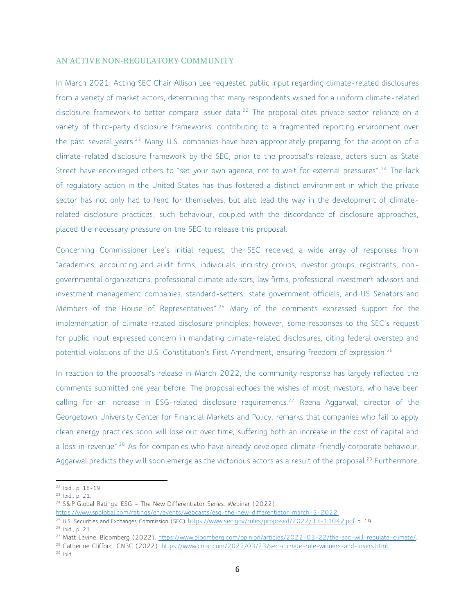## AN ACTIVE NON-REGULATORY COMMUNITY

In March 2021, Acting SEC Chair Allison Lee requested public input regarding climate-related disclosures from a variety of market actors, determining that many respondents wished for a uniform climate-related disclosure framework to better compare issuer data.<sup>22</sup> The proposal cites private sector reliance on a variety of third-party disclosure frameworks, contributing to a fragmented reporting environment over the past several years.<sup>23</sup> Many U.S. companies have been appropriately preparing for the adoption of a climate-related disclosure framework by the SEC; prior to the proposal's release, actors such as State Street have encouraged others to "set your own agenda, not to wait for external pressures".<sup>24</sup> The lack of regulatory action in the United States has thus fostered a distinct environment in which the private sector has not only had to fend for themselves, but also lead the way in the development of climaterelated disclosure practices; such behaviour, coupled with the discordance of disclosure approaches, placed the necessary pressure on the SEC to release this proposal.

Concerning Commissioner Lee's initial request, the SEC received a wide array of responses from "academics, accounting and audit firms, individuals, industry groups, investor groups, registrants, nongovernmental organizations, professional climate advisors, law firms, professional investment advisors and investment management companies, standard-setters, state government officials, and US Senators and Members of the House of Representatives".<sup>25</sup> Many of the comments expressed support for the implementation of climate-related disclosure principles; however, some responses to the SEC's request for public input expressed concern in mandating climate-related disclosures, citing federal overstep and potential violations of the U.S. Constitution's First Amendment, ensuring freedom of expression.<sup>26</sup>

In reaction to the proposal's release in March 2022, the community response has largely reflected the comments submitted one year before. The proposal echoes the wishes of most investors, who have been calling for an increase in ESG-related disclosure requirements.<sup>27</sup> Reena Aggarwal, director of the Georgetown University Center for Financial Markets and Policy, remarks that companies who fail to apply clean energy practices soon will lose out over time, suffering both an increase in the cost of capital and a loss in revenue".<sup>28</sup> As for companies who have already developed climate-friendly corporate behaviour, Aggarwal predicts they will soon emerge as the victorious actors as a result of the proposal.<sup>29</sup> Furthermore,

<sup>22</sup> Ibid., p. 18-19.

<sup>23</sup> Ibid., p. 21.

<sup>&</sup>lt;sup>24</sup> S&P Global Ratings: ESG - The New Differentiator Series. Webinar (2022).

<https://www.spglobal.com/ratings/en/events/webcasts/esg-the-new-differentiator-march-3-2022.>

<sup>&</sup>lt;sup>25</sup> U.S. Securities and Exchanges Commission (SEC) <https://www.sec.gov/rules/proposed/2022/33-11042.pdf> p. 19.

<sup>26</sup> Ibid., p. 21.

<sup>&</sup>lt;sup>27</sup> Matt Levine. Bloomberg (2022). [https://www.bloomberg.com/opinion/articles/2022-03-22/the-sec-will-regulate-climate/.](https://www.bloomberg.com/opinion/articles/2022-03-22/the-sec-will-regulate-climate/)

<sup>28</sup> Catherine Clifford. CNBC (2022).<https://www.cnbc.com/2022/03/23/sec-climate-rule-winners-and-losers.html.>

 $29$  Ibid.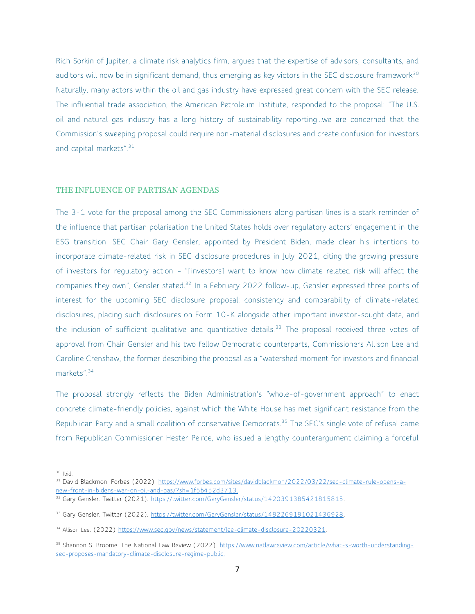Rich Sorkin of Jupiter, a climate risk analytics firm, argues that the expertise of advisors, consultants, and auditors will now be in significant demand, thus emerging as key victors in the SEC disclosure framework<sup>30</sup> Naturally, many actors within the oil and gas industry have expressed great concern with the SEC release. The influential trade association, the American Petroleum Institute, responded to the proposal: "The U.S. oil and natural gas industry has a long history of sustainability reporting...we are concerned that the Commission's sweeping proposal could require non-material disclosures and create confusion for investors and capital markets".<sup>31</sup>

#### THE INFLUENCE OF PARTISAN AGENDAS

The 3-1 vote for the proposal among the SEC Commissioners along partisan lines is a stark reminder of the influence that partisan polarisation the United States holds over regulatory actors' engagement in the ESG transition. SEC Chair Gary Gensler, appointed by President Biden, made clear his intentions to incorporate climate-related risk in SEC disclosure procedures in July 2021, citing the growing pressure of investors for regulatory action – "[investors] want to know how climate related risk will affect the companies they own", Gensler stated.<sup>32</sup> In a February 2022 follow-up, Gensler expressed three points of interest for the upcoming SEC disclosure proposal: consistency and comparability of climate-related disclosures, placing such disclosures on Form 10-K alongside other important investor-sought data, and the inclusion of sufficient qualitative and quantitative details.<sup>33</sup> The proposal received three votes of approval from Chair Gensler and his two fellow Democratic counterparts, Commissioners Allison Lee and Caroline Crenshaw, the former describing the proposal as a "watershed moment for investors and financial markets".<sup>34</sup>

The proposal strongly reflects the Biden Administration's "whole-of-government approach" to enact concrete climate-friendly policies, against which the White House has met significant resistance from the Republican Party and a small coalition of conservative Democrats.<sup>35</sup> The SEC's single vote of refusal came from Republican Commissioner Hester Peirce, who issued a lengthy counterargument claiming a forceful

<sup>30</sup> Ibid.

<sup>31</sup> David Blackmon. Forbes (2022). [https://www.forbes.com/sites/davidblackmon/2022/03/22/sec-climate-rule-opens-a](https://www.forbes.com/sites/davidblackmon/2022/03/22/sec-climate-rule-opens-a-new-front-in-bidens-war-on-oil-and-gas/?sh=1f5b452d3713.)[new-front-in-bidens-war-on-oil-and-gas/?sh=1f5b452d3713.](https://www.forbes.com/sites/davidblackmon/2022/03/22/sec-climate-rule-opens-a-new-front-in-bidens-war-on-oil-and-gas/?sh=1f5b452d3713.)

<sup>32</sup> Gary Gensler. Twitter (2021). [https://twitter.com/GaryGensler/status/1420391385421815815.](https://twitter.com/GaryGensler/status/1420391385421815815)

<sup>33</sup> Gary Gensler. Twitter (2022). [https://twitter.com/GaryGensler/status/1492269191021436928.](https://twitter.com/GaryGensler/status/1492269191021436928)

<sup>34</sup> Allison Lee. (2022) [https://www.sec.gov/news/statement/lee-climate-disclosure-20220321.](https://www.sec.gov/news/statement/lee-climate-disclosure-20220321)

<sup>35</sup> Shannon S. Broome. The National Law Review (2022). [https://www.natlawreview.com/article/what-s-worth-understanding](https://www.natlawreview.com/article/what-s-worth-understanding-sec-proposes-mandatory-climate-disclosure-regime-public.)[sec-proposes-mandatory-climate-disclosure-regime-public.](https://www.natlawreview.com/article/what-s-worth-understanding-sec-proposes-mandatory-climate-disclosure-regime-public.)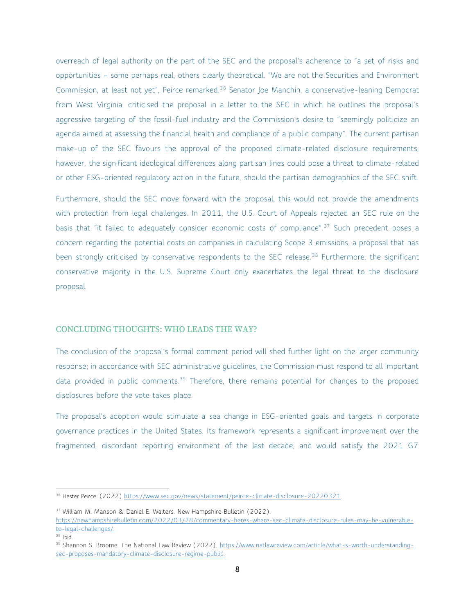overreach of legal authority on the part of the SEC and the proposal's adherence to "a set of risks and opportunities – some perhaps real, others clearly theoretical. "We are not the Securities and Environment Commission, at least not yet", Peirce remarked.<sup>36</sup> Senator Joe Manchin, a conservative-leaning Democrat from West Virginia, criticised the proposal in a letter to the SEC in which he outlines the proposal's aggressive targeting of the fossil-fuel industry and the Commission's desire to "seemingly politicize an agenda aimed at assessing the financial health and compliance of a public company". The current partisan make-up of the SEC favours the approval of the proposed climate-related disclosure requirements, however, the significant ideological differences along partisan lines could pose a threat to climate-related or other ESG-oriented regulatory action in the future, should the partisan demographics of the SEC shift.

Furthermore, should the SEC move forward with the proposal, this would not provide the amendments with protection from legal challenges. In 2011, the U.S. Court of Appeals rejected an SEC rule on the basis that "it failed to adequately consider economic costs of compliance".<sup>37</sup> Such precedent poses a concern regarding the potential costs on companies in calculating Scope 3 emissions, a proposal that has been strongly criticised by conservative respondents to the SEC release.<sup>38</sup> Furthermore, the significant conservative majority in the U.S. Supreme Court only exacerbates the legal threat to the disclosure proposal.

## CONCLUDING THOUGHTS: WHO LEADS THE WAY?

The conclusion of the proposal's formal comment period will shed further light on the larger community response; in accordance with SEC administrative guidelines, the Commission must respond to all important data provided in public comments.<sup>39</sup> Therefore, there remains potential for changes to the proposed disclosures before the vote takes place.

The proposal's adoption would stimulate a sea change in ESG-oriented goals and targets in corporate governance practices in the United States. Its framework represents a significant improvement over the fragmented, discordant reporting environment of the last decade, and would satisfy the 2021 G7

<sup>&</sup>lt;sup>36</sup> Hester Peirce. (2022) [https://www.sec.gov/news/statement/peirce-climate-disclosure-20220321.](https://www.sec.gov/news/statement/peirce-climate-disclosure-20220321)

<sup>&</sup>lt;sup>37</sup> William M. Manson & Daniel E. Walters. New Hampshire Bulletin (2022).

[https://newhampshirebulletin.com/2022/03/28/commentary-heres-where-sec-climate-disclosure-rules-may-be-vulnerable](https://newhampshirebulletin.com/2022/03/28/commentary-heres-where-sec-climate-disclosure-rules-may-be-vulnerable-to-legal-challenges/)[to-legal-challenges/.](https://newhampshirebulletin.com/2022/03/28/commentary-heres-where-sec-climate-disclosure-rules-may-be-vulnerable-to-legal-challenges/)

<sup>38</sup> Ibid.

<sup>&</sup>lt;sup>39</sup> Shannon S. Broome. The National Law Review (2022). [https://www.natlawreview.com/article/what-s-worth-understanding](https://www.natlawreview.com/article/what-s-worth-understanding-sec-proposes-mandatory-climate-disclosure-regime-public.)[sec-proposes-mandatory-climate-disclosure-regime-public.](https://www.natlawreview.com/article/what-s-worth-understanding-sec-proposes-mandatory-climate-disclosure-regime-public.)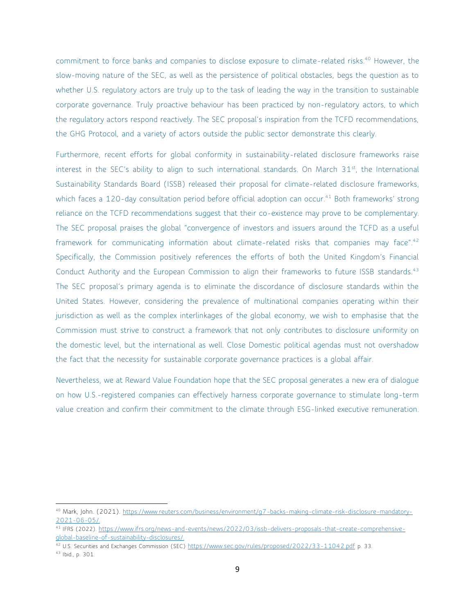commitment to force banks and companies to disclose exposure to climate-related risks.<sup>40</sup> However, the slow-moving nature of the SEC, as well as the persistence of political obstacles, begs the question as to whether U.S. regulatory actors are truly up to the task of leading the way in the transition to sustainable corporate governance. Truly proactive behaviour has been practiced by non-regulatory actors, to which the regulatory actors respond reactively. The SEC proposal's inspiration from the TCFD recommendations, the GHG Protocol, and a variety of actors outside the public sector demonstrate this clearly.

Furthermore, recent efforts for global conformity in sustainability-related disclosure frameworks raise interest in the SEC's ability to align to such international standards. On March  $31<sup>st</sup>$ , the International Sustainability Standards Board (ISSB) released their proposal for climate-related disclosure frameworks, which faces a 120-day consultation period before official adoption can occur.<sup>41</sup> Both frameworks' strong reliance on the TCFD recommendations suggest that their co-existence may prove to be complementary. The SEC proposal praises the global "convergence of investors and issuers around the TCFD as a useful framework for communicating information about climate-related risks that companies may face".<sup>42</sup> Specifically, the Commission positively references the efforts of both the United Kingdom's Financial Conduct Authority and the European Commission to align their frameworks to future ISSB standards.<sup>43</sup> The SEC proposal's primary agenda is to eliminate the discordance of disclosure standards within the United States. However, considering the prevalence of multinational companies operating within their jurisdiction as well as the complex interlinkages of the global economy, we wish to emphasise that the Commission must strive to construct a framework that not only contributes to disclosure uniformity on the domestic level, but the international as well. Close Domestic political agendas must not overshadow the fact that the necessity for sustainable corporate governance practices is a global affair.

Nevertheless, we at Reward Value Foundation hope that the SEC proposal generates a new era of dialogue on how U.S.-registered companies can effectively harness corporate governance to stimulate long-term value creation and confirm their commitment to the climate through ESG-linked executive remuneration.

<sup>40</sup> Mark, John. (2021). [https://www.reuters.com/business/environment/g7-backs-making-climate-risk-disclosure-mandatory-](https://www.reuters.com/business/environment/g7-backs-making-climate-risk-disclosure-mandatory-2021-06-05/)[2021-06-05/.](https://www.reuters.com/business/environment/g7-backs-making-climate-risk-disclosure-mandatory-2021-06-05/)

<sup>41</sup> IFRS (2022). [https://www.ifrs.org/news-and-events/news/2022/03/issb-delivers-proposals-that-create-comprehensive](https://www.sec.gov/rules/proposed/2022/33-11042.pdf)[global-baseline-of-sustainability-disclosures/.](https://www.sec.gov/rules/proposed/2022/33-11042.pdf)

<sup>42</sup> U.S. Securities and Exchanges Commission (SEC) <https://www.sec.gov/rules/proposed/2022/33-11042.pdf> p. 33.

<sup>43</sup> Ibid., p. 301.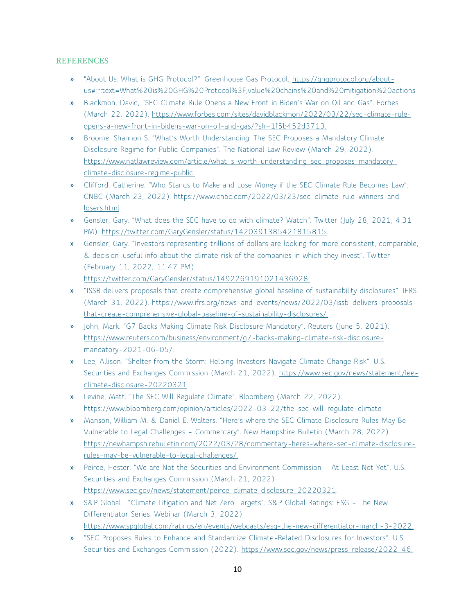## **REFERENCES**

- » "About Us: What is GHG Protocol?". Greenhouse Gas Protocol. [https://ghgprotocol.org/about](https://ghgprotocol.org/about-us#:~:text=What%20is%20GHG%20Protocol%3F,value%20chains%20and%20mitigation%20actions)[us#:~:text=What%20is%20GHG%20Protocol%3F,value%20chains%20and%20mitigation%20actions](https://ghgprotocol.org/about-us#:~:text=What%20is%20GHG%20Protocol%3F,value%20chains%20and%20mitigation%20actions)
- » Blackmon, David, "SEC Climate Rule Opens a New Front in Biden's War on Oil and Gas". Forbes (March 22, 2022). [https://www.forbes.com/sites/davidblackmon/2022/03/22/sec-climate-rule](https://www.forbes.com/sites/davidblackmon/2022/03/22/sec-climate-rule-opens-a-new-front-in-bidens-war-on-oil-and-gas/?sh=1f5b452d3713.)[opens-a-new-front-in-bidens-war-on-oil-and-gas/?sh=1f5b452d3713.](https://www.forbes.com/sites/davidblackmon/2022/03/22/sec-climate-rule-opens-a-new-front-in-bidens-war-on-oil-and-gas/?sh=1f5b452d3713.)
- » Broome, Shannon S. "What's Worth Understanding: The SEC Proposes a Mandatory Climate Disclosure Regime for Public Companies". The National Law Review (March 29, 2022). [https://www.natlawreview.com/article/what-s-worth-understanding-sec-proposes-mandatory](https://www.natlawreview.com/article/what-s-worth-understanding-sec-proposes-mandatory-climate-disclosure-regime-public.)[climate-disclosure-regime-public.](https://www.natlawreview.com/article/what-s-worth-understanding-sec-proposes-mandatory-climate-disclosure-regime-public.)
- » Clifford, Catherine. "Who Stands to Make and Lose Money if the SEC Climate Rule Becomes Law". CNBC (March 23, 2022). [https://www.cnbc.com/2022/03/23/sec-climate-rule-winners-and](https://www.cnbc.com/2022/03/23/sec-climate-rule-winners-and-losers.html)[losers.html](https://www.cnbc.com/2022/03/23/sec-climate-rule-winners-and-losers.html)
- » Gensler, Gary. "What does the SEC have to do with climate? Watch". Twitter (July 28, 2021; 4:31 PM). [https://twitter.com/GaryGensler/status/1420391385421815815.](https://twitter.com/GaryGensler/status/1420391385421815815)
- » Gensler, Gary. "Investors representing trillions of dollars are looking for more consistent, comparable, & decision-useful info about the climate risk of the companies in which they invest". Twitter (February 11, 2022; 11:47 PM).

[https://twitter.com/GaryGensler/status/1492269191021436928.](https://twitter.com/GaryGensler/status/1420391385421815815)

- » "ISSB delivers proposals that create comprehensive global baseline of sustainability disclosures". IFRS (March 31, 2022). [https://www.ifrs.org/news-and-events/news/2022/03/issb-delivers-proposals](https://www.sec.gov/rules/proposed/2022/33-11042.pdf)[that-create-comprehensive-global-baseline-of-sustainability-disclosures/.](https://www.sec.gov/rules/proposed/2022/33-11042.pdf)
- » John, Mark. "G7 Backs Making Climate Risk Disclosure Mandatory". Reuters (June 5, 2021). [https://www.reuters.com/business/environment/g7-backs-making-climate-risk-disclosure](https://www.reuters.com/business/environment/g7-backs-making-climate-risk-disclosure-mandatory-2021-06-05/)[mandatory-2021-06-05/.](https://www.reuters.com/business/environment/g7-backs-making-climate-risk-disclosure-mandatory-2021-06-05/)
- » Lee, Allison. "Shelter from the Storm: Helping Investors Navigate Climate Change Risk". U.S. Securities and Exchanges Commission (March 21, 2022). [https://www.sec.gov/news/statement/lee](https://www.sec.gov/news/statement/lee-climate-disclosure-20220321)[climate-disclosure-20220321.](https://www.sec.gov/news/statement/lee-climate-disclosure-20220321)
- » Levine, Matt. "The SEC Will Regulate Climate". Bloomberg (March 22, 2022). <https://www.bloomberg.com/opinion/articles/2022-03-22/the-sec-will-regulate-climate>
- » Manson, William M. & Daniel E. Walters. "Here's where the SEC Climate Disclosure Rules May Be Vulnerable to Legal Challenges – Commentary". New Hampshire Bulletin (March 28, 2022). [https://newhampshirebulletin.com/2022/03/28/commentary-heres-where-sec-climate-disclosure](https://newhampshirebulletin.com/2022/03/28/commentary-heres-where-sec-climate-disclosure-rules-may-be-vulnerable-to-legal-challenges/)[rules-may-be-vulnerable-to-legal-challenges/.](https://newhampshirebulletin.com/2022/03/28/commentary-heres-where-sec-climate-disclosure-rules-may-be-vulnerable-to-legal-challenges/)
- » Peirce, Hester. "We are Not the Securities and Environment Commission At Least Not Yet". U.S. Securities and Exchanges Commission (March 21, 2022) [https://www.sec.gov/news/statement/peirce-climate-disclosure-20220321.](https://www.sec.gov/news/statement/peirce-climate-disclosure-20220321)
- » S&P Global. "Climate Litigation and Net Zero Targets". S&P Global Ratings: ESG The New Differentiator Series. Webinar (March 3, 2022). <https://www.spglobal.com/ratings/en/events/webcasts/esg-the-new-differentiator-march-3-2022.>
- » "SEC Proposes Rules to Enhance and Standardize Climate-Related Disclosures for Investors". U.S. Securities and Exchanges Commission (2022).<https://www.sec.gov/news/press-release/2022-46.>